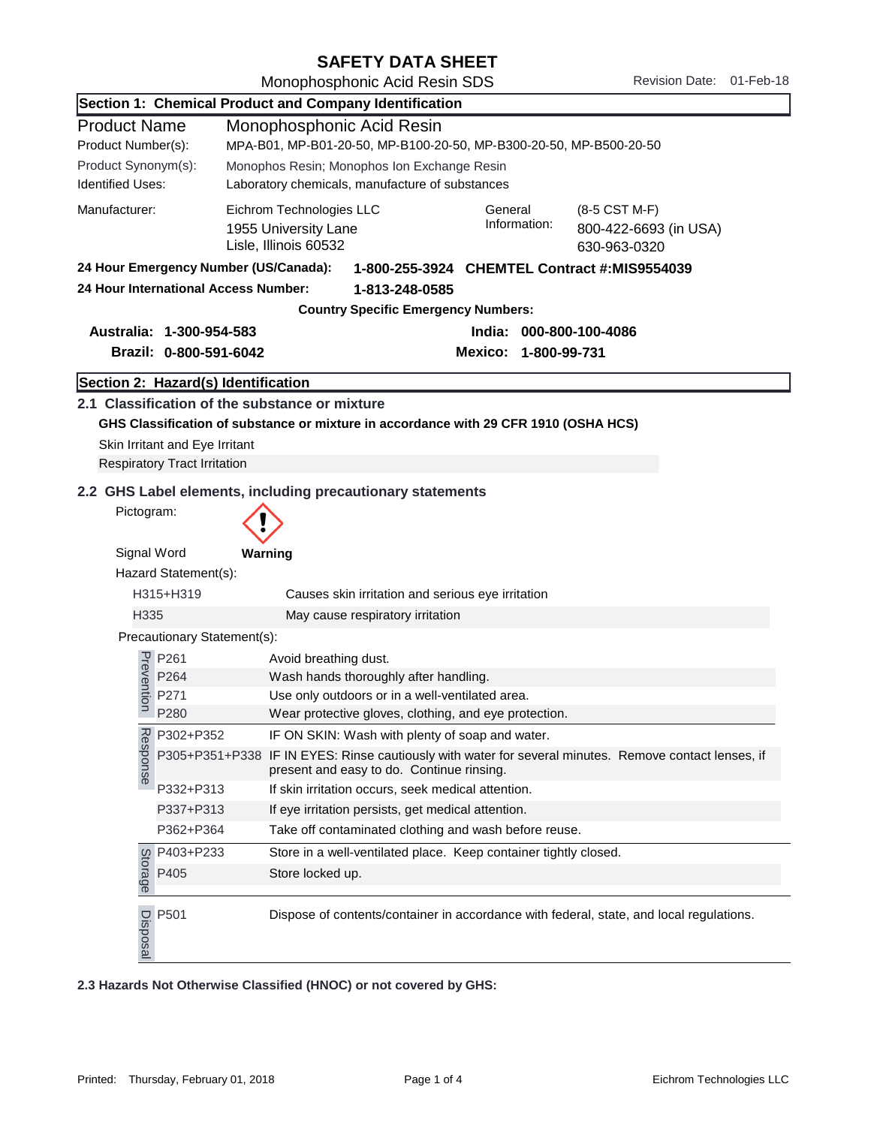## SAFETY DATA SHEET

Monophosphonic Acid Resin SDS Revision Date: 01-Feb-18

|                                                                          |                                                                                       | Section 1: Chemical Product and Company Identification                                                                                                         |  |  |
|--------------------------------------------------------------------------|---------------------------------------------------------------------------------------|----------------------------------------------------------------------------------------------------------------------------------------------------------------|--|--|
| <b>Product Name</b>                                                      |                                                                                       | Monophosphonic Acid Resin                                                                                                                                      |  |  |
| Product Number(s):                                                       | MPA-B01, MP-B01-20-50, MP-B100-20-50, MP-B300-20-50, MP-B500-20-50                    |                                                                                                                                                                |  |  |
| Product Synonym(s):                                                      |                                                                                       | Monophos Resin; Monophos Ion Exchange Resin                                                                                                                    |  |  |
| <b>Identified Uses:</b>                                                  |                                                                                       | Laboratory chemicals, manufacture of substances                                                                                                                |  |  |
| Manufacturer:                                                            |                                                                                       | Eichrom Technologies LLC<br>General<br>(8-5 CST M-F)<br>Information:<br>1955 University Lane<br>800-422-6693 (in USA)<br>Lisle, Illinois 60532<br>630-963-0320 |  |  |
|                                                                          | 24 Hour Emergency Number (US/Canada):<br>1-800-255-3924 CHEMTEL Contract #:MIS9554039 |                                                                                                                                                                |  |  |
|                                                                          | 24 Hour International Access Number:                                                  | 1-813-248-0585                                                                                                                                                 |  |  |
|                                                                          |                                                                                       | <b>Country Specific Emergency Numbers:</b>                                                                                                                     |  |  |
| Australia: 1-300-954-583<br>India: 000-800-100-4086                      |                                                                                       |                                                                                                                                                                |  |  |
|                                                                          | Brazil: 0-800-591-6042                                                                | Mexico: 1-800-99-731                                                                                                                                           |  |  |
|                                                                          |                                                                                       |                                                                                                                                                                |  |  |
|                                                                          | Section 2: Hazard(s) Identification                                                   |                                                                                                                                                                |  |  |
|                                                                          |                                                                                       | 2.1 Classification of the substance or mixture                                                                                                                 |  |  |
|                                                                          |                                                                                       | GHS Classification of substance or mixture in accordance with 29 CFR 1910 (OSHA HCS)                                                                           |  |  |
|                                                                          | Skin Irritant and Eye Irritant<br><b>Respiratory Tract Irritation</b>                 |                                                                                                                                                                |  |  |
|                                                                          |                                                                                       |                                                                                                                                                                |  |  |
| 2.2 GHS Label elements, including precautionary statements<br>Pictogram: |                                                                                       |                                                                                                                                                                |  |  |
| Signal Word<br>Warning<br>Hazard Statement(s):                           |                                                                                       |                                                                                                                                                                |  |  |
|                                                                          | H315+H319<br>Causes skin irritation and serious eye irritation                        |                                                                                                                                                                |  |  |
| H335                                                                     |                                                                                       | May cause respiratory irritation                                                                                                                               |  |  |
|                                                                          | Precautionary Statement(s):                                                           |                                                                                                                                                                |  |  |
|                                                                          | P261                                                                                  | Avoid breathing dust.                                                                                                                                          |  |  |
|                                                                          | P264                                                                                  | Wash hands thoroughly after handling.                                                                                                                          |  |  |
| Prevention                                                               | P271                                                                                  | Use only outdoors or in a well-ventilated area.                                                                                                                |  |  |
|                                                                          | P280                                                                                  | Wear protective gloves, clothing, and eye protection.                                                                                                          |  |  |
|                                                                          | P302+P352                                                                             | IF ON SKIN: Wash with plenty of soap and water.                                                                                                                |  |  |
| Response                                                                 | P305+P351+P338                                                                        | IF IN EYES: Rinse cautiously with water for several minutes. Remove contact lenses, if<br>present and easy to do. Continue rinsing.                            |  |  |
|                                                                          | P332+P313                                                                             | If skin irritation occurs, seek medical attention.                                                                                                             |  |  |
|                                                                          | P337+P313                                                                             | If eye irritation persists, get medical attention.                                                                                                             |  |  |
|                                                                          | P362+P364                                                                             | Take off contaminated clothing and wash before reuse.                                                                                                          |  |  |
| Storage                                                                  | P403+P233                                                                             | Store in a well-ventilated place. Keep container tightly closed.                                                                                               |  |  |
|                                                                          | P405                                                                                  | Store locked up.                                                                                                                                               |  |  |
|                                                                          | $\frac{10}{100}$ P501<br>$\frac{10}{100}$                                             | Dispose of contents/container in accordance with federal, state, and local regulations.                                                                        |  |  |
|                                                                          |                                                                                       | 2.3 Hazards Not Otherwise Classified (HNOC) or not covered by GHS:                                                                                             |  |  |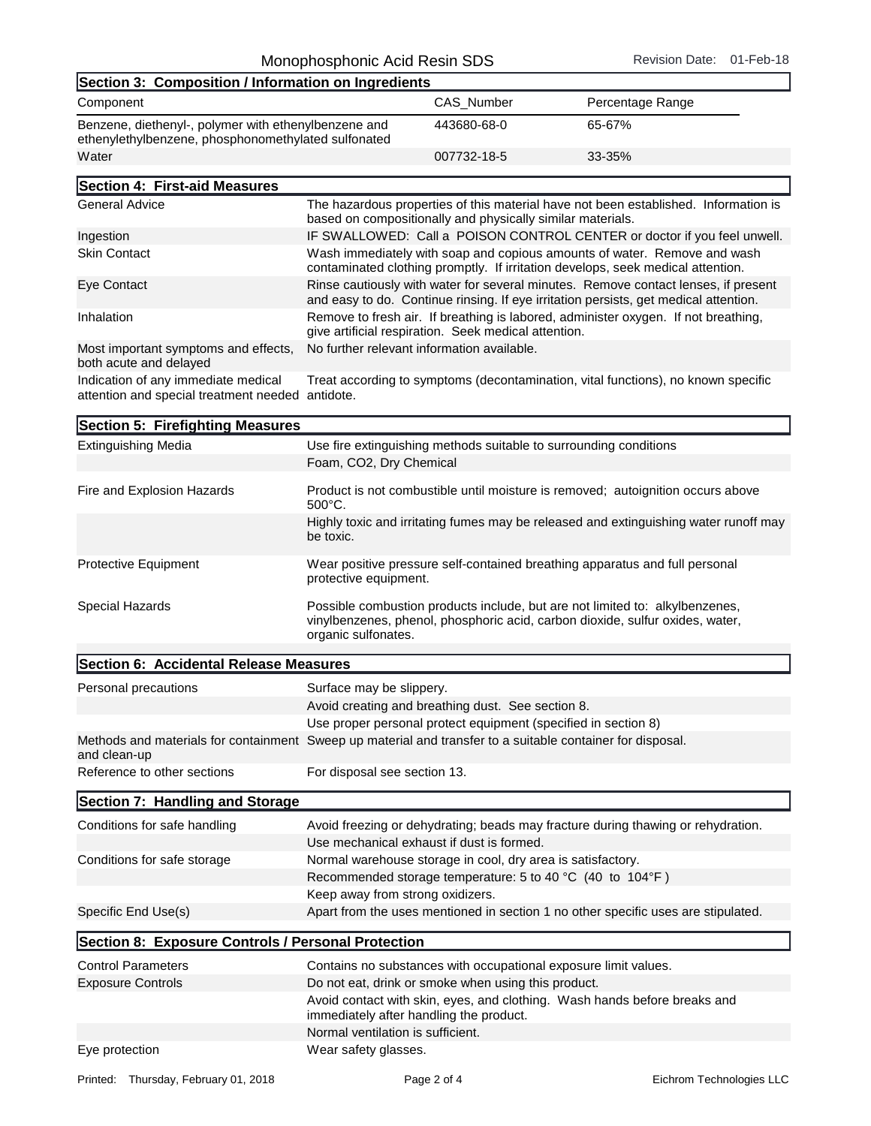| Section 3: Composition / Information on Ingredients                                                         |             |                  |  |
|-------------------------------------------------------------------------------------------------------------|-------------|------------------|--|
| Component                                                                                                   | CAS Number  | Percentage Range |  |
| Benzene, diethenyl-, polymer with ethenylbenzene and<br>ethenylethylbenzene, phosphonomethylated sulfonated | 443680-68-0 | 65-67%           |  |
| Water                                                                                                       | 007732-18-5 | $33 - 35%$       |  |
|                                                                                                             |             |                  |  |

| Section 4: First-aid Measures                                  |                                                                                                                                                                            |
|----------------------------------------------------------------|----------------------------------------------------------------------------------------------------------------------------------------------------------------------------|
| <b>General Advice</b>                                          | The hazardous properties of this material have not been established. Information is<br>based on compositionally and physically similar materials.                          |
| Ingestion                                                      | IF SWALLOWED: Call a POISON CONTROL CENTER or doctor if you feel unwell.                                                                                                   |
| <b>Skin Contact</b>                                            | Wash immediately with soap and copious amounts of water. Remove and wash<br>contaminated clothing promptly. If irritation develops, seek medical attention.                |
| Eye Contact                                                    | Rinse cautiously with water for several minutes. Remove contact lenses, if present<br>and easy to do. Continue rinsing. If eye irritation persists, get medical attention. |
| Inhalation                                                     | Remove to fresh air. If breathing is labored, administer oxygen. If not breathing,<br>give artificial respiration. Seek medical attention.                                 |
| Most important symptoms and effects,<br>both acute and delayed | No further relevant information available.                                                                                                                                 |
| Indication of any immediate medical                            | Treat according to symptoms (decontamination, vital functions), no known specific                                                                                          |

attention and special treatment needed antidote.

| Section 5: Firefighting Measures       |                                                                                                                                                                                      |
|----------------------------------------|--------------------------------------------------------------------------------------------------------------------------------------------------------------------------------------|
| <b>Extinguishing Media</b>             | Use fire extinguishing methods suitable to surrounding conditions                                                                                                                    |
|                                        | Foam, CO2, Dry Chemical                                                                                                                                                              |
| Fire and Explosion Hazards             | Product is not combustible until moisture is removed; autoignition occurs above<br>$500^{\circ}$ C.                                                                                  |
|                                        | Highly toxic and irritating fumes may be released and extinguishing water runoff may<br>be toxic.                                                                                    |
| <b>Protective Equipment</b>            | Wear positive pressure self-contained breathing apparatus and full personal<br>protective equipment.                                                                                 |
| <b>Special Hazards</b>                 | Possible combustion products include, but are not limited to: alkylbenzenes,<br>vinylbenzenes, phenol, phosphoric acid, carbon dioxide, sulfur oxides, water,<br>organic sulfonates. |
| Section 6: Accidental Release Measures |                                                                                                                                                                                      |

| Personal precautions | Surface may be slippery.                                                                                   |
|----------------------|------------------------------------------------------------------------------------------------------------|
|                      | Avoid creating and breathing dust. See section 8.                                                          |
|                      | Use proper personal protect equipment (specified in section 8)                                             |
| and clean-up         | Methods and materials for containment Sweep up material and transfer to a suitable container for disposal. |
|                      |                                                                                                            |

Reference to other sections For disposal see section 13.

| י טווטושט ושיט שטווט שוטו                          | <u>, or alopoodi ooo oootion To.</u>                                              |  |
|----------------------------------------------------|-----------------------------------------------------------------------------------|--|
| Section 7: Handling and Storage                    |                                                                                   |  |
| Conditions for safe handling                       | Avoid freezing or dehydrating; beads may fracture during thawing or rehydration.  |  |
|                                                    | Use mechanical exhaust if dust is formed.                                         |  |
| Conditions for safe storage                        | Normal warehouse storage in cool, dry area is satisfactory.                       |  |
|                                                    | Recommended storage temperature: 5 to 40 °C (40 to 104°F)                         |  |
|                                                    | Keep away from strong oxidizers.                                                  |  |
| Specific End Use(s)                                | Apart from the uses mentioned in section 1 no other specific uses are stipulated. |  |
| Section 8: Exposure Controls / Personal Protection |                                                                                   |  |
| <b>Control Parameters</b>                          | Contains no substances with occupational exposure limit values.                   |  |
| <b>Exposure Controls</b>                           | Do not eat, drink or smoke when using this product.                               |  |
|                                                    | Avoid contact with skin, eyes, and clothing. Wash hands before breaks and         |  |

Eye protection **Exercise Exercise Server Access**.

immediately after handling the product.

Normal ventilation is sufficient.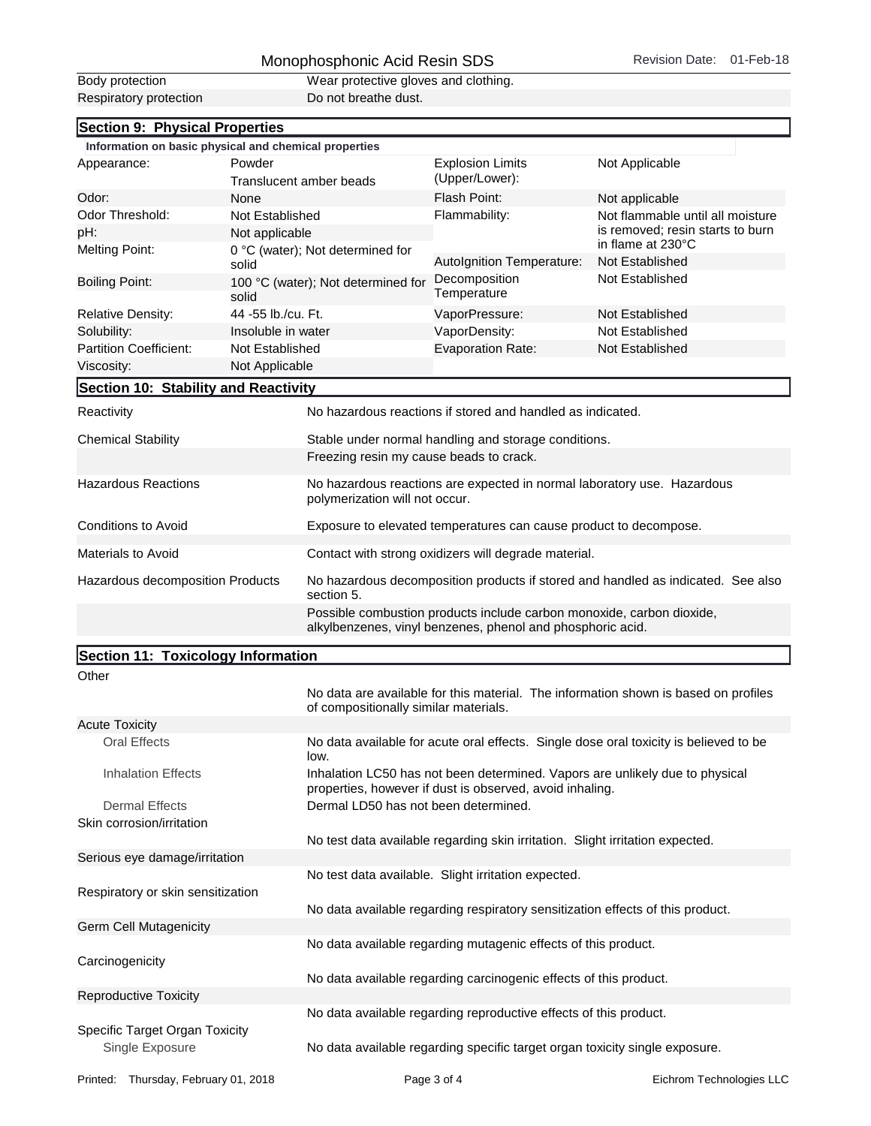## Monophosphonic Acid Resin SDS Revision Date: 01-Feb-18

| Body protection        |
|------------------------|
| Respiratory protection |

Wear protective gloves and clothing. external protection Do not breathe dust.

| Section 9: Physical Properties                                                                                                      |                                           |                                                                                                           |                                                                                       |  |
|-------------------------------------------------------------------------------------------------------------------------------------|-------------------------------------------|-----------------------------------------------------------------------------------------------------------|---------------------------------------------------------------------------------------|--|
| Information on basic physical and chemical properties                                                                               |                                           |                                                                                                           |                                                                                       |  |
| Appearance:                                                                                                                         | Powder                                    | <b>Explosion Limits</b><br>(Upper/Lower):                                                                 | Not Applicable                                                                        |  |
|                                                                                                                                     | Translucent amber beads                   |                                                                                                           |                                                                                       |  |
| Odor:                                                                                                                               | None                                      | Flash Point:                                                                                              | Not applicable                                                                        |  |
| Odor Threshold:                                                                                                                     | Not Established                           | Flammability:                                                                                             | Not flammable until all moisture                                                      |  |
| pH:                                                                                                                                 | Not applicable                            |                                                                                                           | is removed; resin starts to burn<br>in flame at 230°C                                 |  |
| <b>Melting Point:</b>                                                                                                               | 0 °C (water); Not determined for<br>solid | Autolgnition Temperature:                                                                                 | Not Established                                                                       |  |
| <b>Boiling Point:</b>                                                                                                               | 100 °C (water); Not determined for        | Decomposition                                                                                             | Not Established                                                                       |  |
|                                                                                                                                     | solid                                     | Temperature                                                                                               |                                                                                       |  |
| <b>Relative Density:</b>                                                                                                            | 44 -55 lb./cu. Ft.                        | VaporPressure:                                                                                            | Not Established                                                                       |  |
| Solubility:                                                                                                                         | Insoluble in water                        | VaporDensity:                                                                                             | Not Established                                                                       |  |
| <b>Partition Coefficient:</b>                                                                                                       | Not Established                           | Evaporation Rate:                                                                                         | Not Established                                                                       |  |
| Viscosity:                                                                                                                          | Not Applicable                            |                                                                                                           |                                                                                       |  |
| Section 10: Stability and Reactivity                                                                                                |                                           |                                                                                                           |                                                                                       |  |
| Reactivity                                                                                                                          |                                           | No hazardous reactions if stored and handled as indicated.                                                |                                                                                       |  |
| <b>Chemical Stability</b>                                                                                                           |                                           | Stable under normal handling and storage conditions.                                                      |                                                                                       |  |
|                                                                                                                                     |                                           | Freezing resin my cause beads to crack.                                                                   |                                                                                       |  |
| <b>Hazardous Reactions</b>                                                                                                          |                                           | No hazardous reactions are expected in normal laboratory use. Hazardous<br>polymerization will not occur. |                                                                                       |  |
| <b>Conditions to Avoid</b>                                                                                                          |                                           | Exposure to elevated temperatures can cause product to decompose.                                         |                                                                                       |  |
| Materials to Avoid                                                                                                                  |                                           | Contact with strong oxidizers will degrade material.                                                      |                                                                                       |  |
| Hazardous decomposition Products                                                                                                    | section 5.                                | No hazardous decomposition products if stored and handled as indicated. See also                          |                                                                                       |  |
| Possible combustion products include carbon monoxide, carbon dioxide,<br>alkylbenzenes, vinyl benzenes, phenol and phosphoric acid. |                                           |                                                                                                           |                                                                                       |  |
| Section 11: Toxicology Information                                                                                                  |                                           |                                                                                                           |                                                                                       |  |
| Other                                                                                                                               |                                           |                                                                                                           |                                                                                       |  |
|                                                                                                                                     | of compositionally similar materials.     |                                                                                                           | No data are available for this material. The information shown is based on profiles   |  |
| <b>Acute Toxicity</b>                                                                                                               |                                           |                                                                                                           |                                                                                       |  |
| Oral Effects<br>low.                                                                                                                |                                           |                                                                                                           | No data available for acute oral effects. Single dose oral toxicity is believed to be |  |
| <b>Inhalation Effects</b>                                                                                                           |                                           | Inhalation LC50 has not been determined. Vapors are unlikely due to physical                              |                                                                                       |  |

Dermal Effects Dermal LD50 has not been determined. Skin corrosion/irritation

Germ Cell Mutagenicity

**Carcinogenicity** 

Serious eye damage/irritation Respiratory or skin sensitization

No data available regarding respiratory sensitization effects of this product.

No test data available. Slight irritation expected.

properties, however if dust is observed, avoid inhaling.

No test data available regarding skin irritation. Slight irritation expected.

No data available regarding mutagenic effects of this product.

No data available regarding carcinogenic effects of this product.

Reproductive Toxicity No data available regarding reproductive effects of this product.

Specific Target Organ Toxicity Single Exposure No data available regarding specific target organ toxicity single exposure.